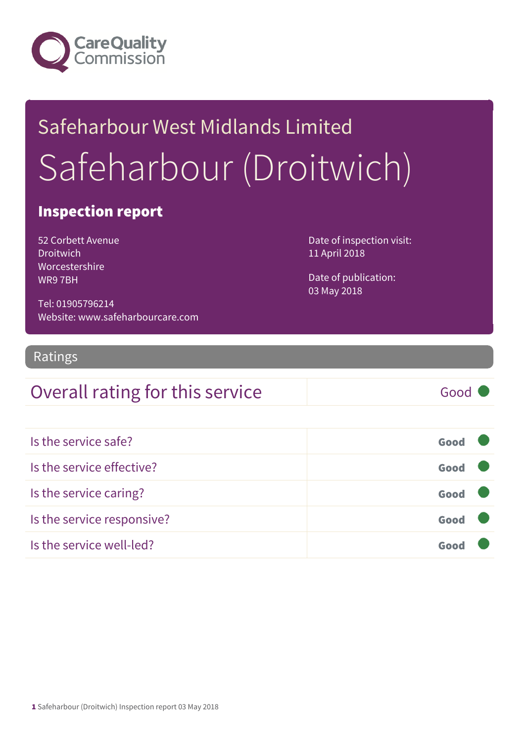

# Safeharbour West Midlands Limited Safeharbour (Droitwich)

#### Inspection report

52 Corbett Avenue **Droitwich** Worcestershire WR9 7BH

Date of inspection visit: 11 April 2018

Date of publication: 03 May 2018

Tel: 01905796214 Website: www.safeharbourcare.com

#### Ratings

#### Overall rating for this service Good

| Is the service safe?       | Good |  |
|----------------------------|------|--|
| Is the service effective?  | Good |  |
| Is the service caring?     | Good |  |
| Is the service responsive? | Good |  |
| Is the service well-led?   | Goo  |  |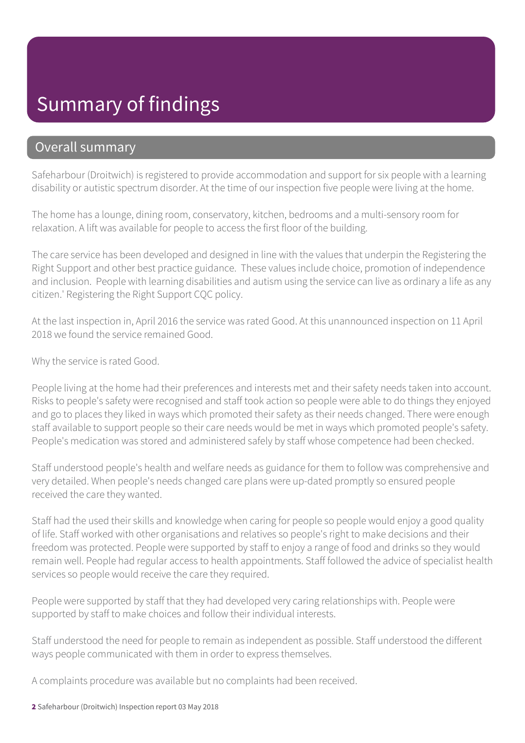## Summary of findings

#### Overall summary

Safeharbour (Droitwich) is registered to provide accommodation and support for six people with a learning disability or autistic spectrum disorder. At the time of our inspection five people were living at the home.

The home has a lounge, dining room, conservatory, kitchen, bedrooms and a multi-sensory room for relaxation. A lift was available for people to access the first floor of the building.

The care service has been developed and designed in line with the values that underpin the Registering the Right Support and other best practice guidance. These values include choice, promotion of independence and inclusion. People with learning disabilities and autism using the service can live as ordinary a life as any citizen.' Registering the Right Support CQC policy.

At the last inspection in, April 2016 the service was rated Good. At this unannounced inspection on 11 April 2018 we found the service remained Good.

Why the service is rated Good.

People living at the home had their preferences and interests met and their safety needs taken into account. Risks to people's safety were recognised and staff took action so people were able to do things they enjoyed and go to places they liked in ways which promoted their safety as their needs changed. There were enough staff available to support people so their care needs would be met in ways which promoted people's safety. People's medication was stored and administered safely by staff whose competence had been checked.

Staff understood people's health and welfare needs as guidance for them to follow was comprehensive and very detailed. When people's needs changed care plans were up-dated promptly so ensured people received the care they wanted.

Staff had the used their skills and knowledge when caring for people so people would enjoy a good quality of life. Staff worked with other organisations and relatives so people's right to make decisions and their freedom was protected. People were supported by staff to enjoy a range of food and drinks so they would remain well. People had regular access to health appointments. Staff followed the advice of specialist health services so people would receive the care they required.

People were supported by staff that they had developed very caring relationships with. People were supported by staff to make choices and follow their individual interests.

Staff understood the need for people to remain as independent as possible. Staff understood the different ways people communicated with them in order to express themselves.

A complaints procedure was available but no complaints had been received.

2 Safeharbour (Droitwich) Inspection report 03 May 2018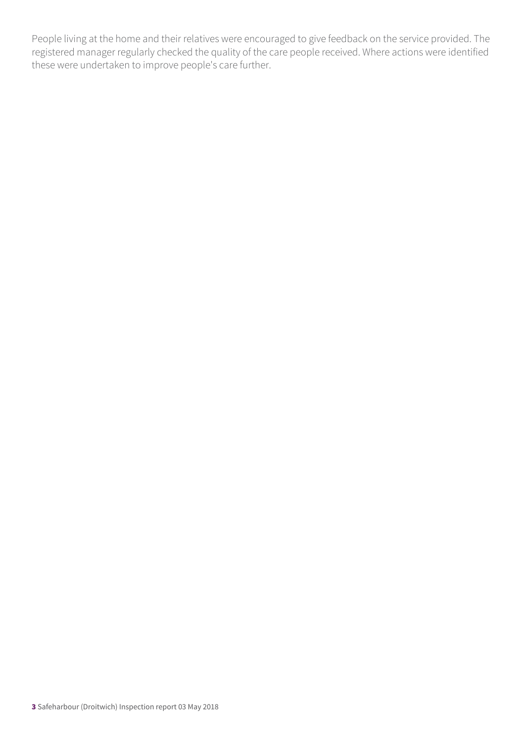People living at the home and their relatives were encouraged to give feedback on the service provided. The registered manager regularly checked the quality of the care people received. Where actions were identified these were undertaken to improve people's care further.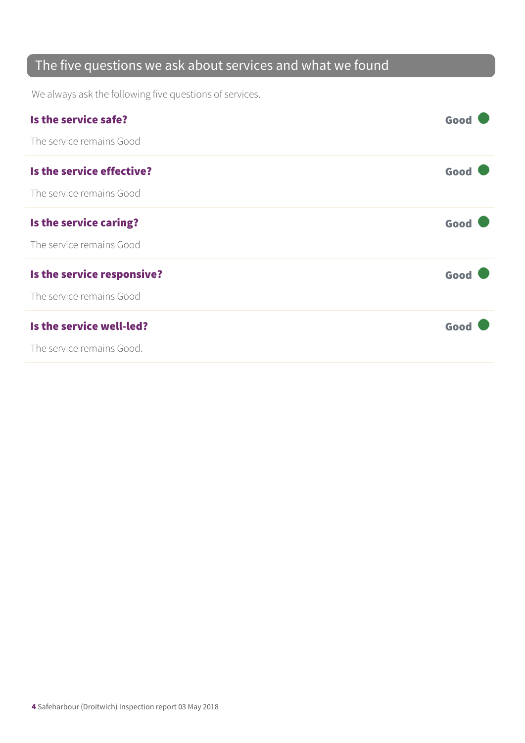#### The five questions we ask about services and what we found

We always ask the following five questions of services.

| Is the service safe?       | Good |
|----------------------------|------|
| The service remains Good   |      |
| Is the service effective?  | Good |
| The service remains Good   |      |
| Is the service caring?     | Good |
| The service remains Good   |      |
| Is the service responsive? | Good |
| The service remains Good   |      |
| Is the service well-led?   | Good |
| The service remains Good.  |      |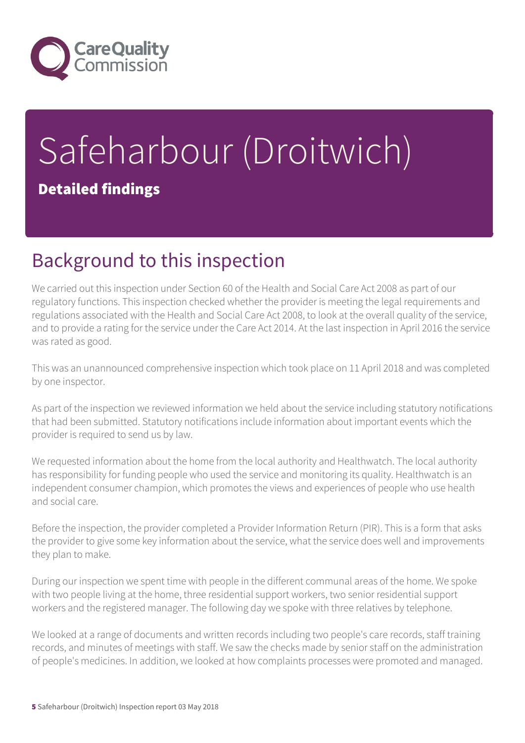

# Safeharbour (Droitwich) Detailed findings

## Background to this inspection

We carried out this inspection under Section 60 of the Health and Social Care Act 2008 as part of our regulatory functions. This inspection checked whether the provider is meeting the legal requirements and regulations associated with the Health and Social Care Act 2008, to look at the overall quality of the service, and to provide a rating for the service under the Care Act 2014. At the last inspection in April 2016 the service was rated as good.

This was an unannounced comprehensive inspection which took place on 11 April 2018 and was completed by one inspector.

As part of the inspection we reviewed information we held about the service including statutory notifications that had been submitted. Statutory notifications include information about important events which the provider is required to send us by law.

We requested information about the home from the local authority and Healthwatch. The local authority has responsibility for funding people who used the service and monitoring its quality. Healthwatch is an independent consumer champion, which promotes the views and experiences of people who use health and social care.

Before the inspection, the provider completed a Provider Information Return (PIR). This is a form that asks the provider to give some key information about the service, what the service does well and improvements they plan to make.

During our inspection we spent time with people in the different communal areas of the home. We spoke with two people living at the home, three residential support workers, two senior residential support workers and the registered manager. The following day we spoke with three relatives by telephone.

We looked at a range of documents and written records including two people's care records, staff training records, and minutes of meetings with staff. We saw the checks made by senior staff on the administration of people's medicines. In addition, we looked at how complaints processes were promoted and managed.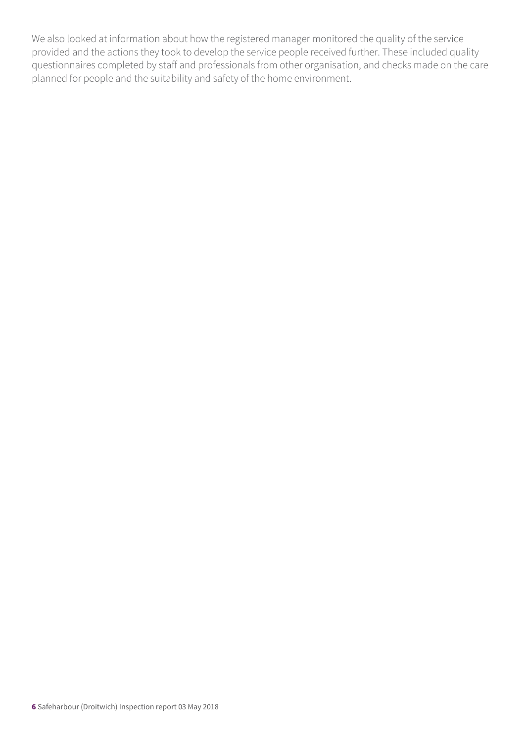We also looked at information about how the registered manager monitored the quality of the service provided and the actions they took to develop the service people received further. These included quality questionnaires completed by staff and professionals from other organisation, and checks made on the care planned for people and the suitability and safety of the home environment.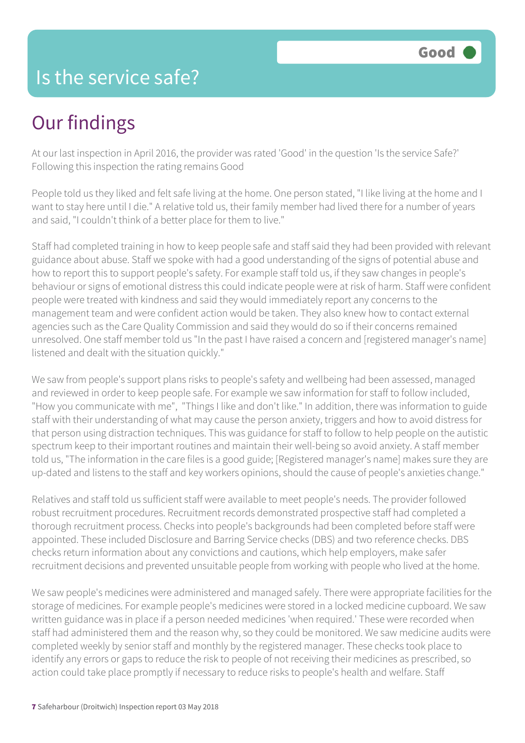### Is the service safe?

# Our findings

At our last inspection in April 2016, the provider was rated 'Good' in the question 'Is the service Safe?' Following this inspection the rating remains Good

People told us they liked and felt safe living at the home. One person stated, "I like living at the home and I want to stay here until I die." A relative told us, their family member had lived there for a number of years and said, "I couldn't think of a better place for them to live."

Staff had completed training in how to keep people safe and staff said they had been provided with relevant guidance about abuse. Staff we spoke with had a good understanding of the signs of potential abuse and how to report this to support people's safety. For example staff told us, if they saw changes in people's behaviour or signs of emotional distress this could indicate people were at risk of harm. Staff were confident people were treated with kindness and said they would immediately report any concerns to the management team and were confident action would be taken. They also knew how to contact external agencies such as the Care Quality Commission and said they would do so if their concerns remained unresolved. One staff member told us "In the past I have raised a concern and [registered manager's name] listened and dealt with the situation quickly."

We saw from people's support plans risks to people's safety and wellbeing had been assessed, managed and reviewed in order to keep people safe. For example we saw information for staff to follow included, "How you communicate with me", "Things I like and don't like." In addition, there was information to guide staff with their understanding of what may cause the person anxiety, triggers and how to avoid distress for that person using distraction techniques. This was guidance for staff to follow to help people on the autistic spectrum keep to their important routines and maintain their well-being so avoid anxiety. A staff member told us, "The information in the care files is a good guide; [Registered manager's name] makes sure they are up-dated and listens to the staff and key workers opinions, should the cause of people's anxieties change."

Relatives and staff told us sufficient staff were available to meet people's needs. The provider followed robust recruitment procedures. Recruitment records demonstrated prospective staff had completed a thorough recruitment process. Checks into people's backgrounds had been completed before staff were appointed. These included Disclosure and Barring Service checks (DBS) and two reference checks. DBS checks return information about any convictions and cautions, which help employers, make safer recruitment decisions and prevented unsuitable people from working with people who lived at the home.

We saw people's medicines were administered and managed safely. There were appropriate facilities for the storage of medicines. For example people's medicines were stored in a locked medicine cupboard. We saw written guidance was in place if a person needed medicines 'when required.' These were recorded when staff had administered them and the reason why, so they could be monitored. We saw medicine audits were completed weekly by senior staff and monthly by the registered manager. These checks took place to identify any errors or gaps to reduce the risk to people of not receiving their medicines as prescribed, so action could take place promptly if necessary to reduce risks to people's health and welfare. Staff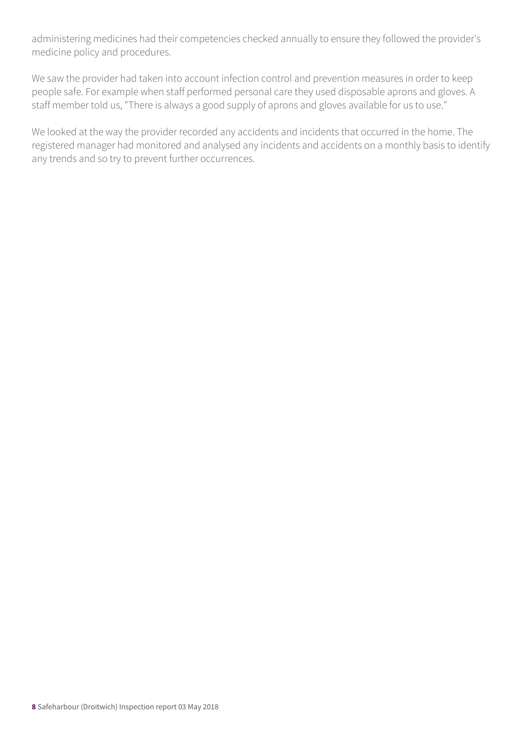administering medicines had their competencies checked annually to ensure they followed the provider's medicine policy and procedures.

We saw the provider had taken into account infection control and prevention measures in order to keep people safe. For example when staff performed personal care they used disposable aprons and gloves. A staff member told us, "There is always a good supply of aprons and gloves available for us to use."

We looked at the way the provider recorded any accidents and incidents that occurred in the home. The registered manager had monitored and analysed any incidents and accidents on a monthly basis to identify any trends and so try to prevent further occurrences.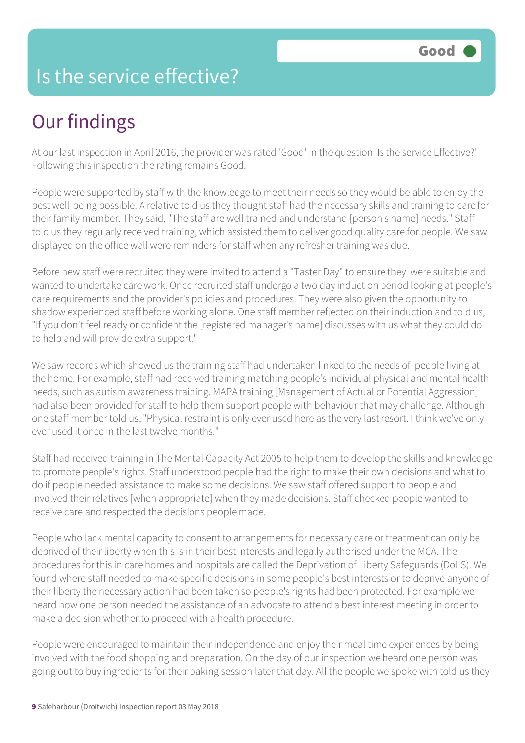### Is the service effective?

# Our findings

At our last inspection in April 2016, the provider was rated 'Good' in the question 'Is the service Effective?' Following this inspection the rating remains Good.

People were supported by staff with the knowledge to meet their needs so they would be able to enjoy the best well-being possible. A relative told us they thought staff had the necessary skills and training to care for their family member. They said, "The staff are well trained and understand [person's name] needs." Staff told us they regularly received training, which assisted them to deliver good quality care for people. We saw displayed on the office wall were reminders for staff when any refresher training was due.

Before new staff were recruited they were invited to attend a "Taster Day" to ensure they were suitable and wanted to undertake care work. Once recruited staff undergo a two day induction period looking at people's care requirements and the provider's policies and procedures. They were also given the opportunity to shadow experienced staff before working alone. One staff member reflected on their induction and told us, "If you don't feel ready or confident the [registered manager's name] discusses with us what they could do to help and will provide extra support."

We saw records which showed us the training staff had undertaken linked to the needs of people living at the home. For example, staff had received training matching people's individual physical and mental health needs, such as autism awareness training. MAPA training [Management of Actual or Potential Aggression] had also been provided for staff to help them support people with behaviour that may challenge. Although one staff member told us, "Physical restraint is only ever used here as the very last resort. I think we've only ever used it once in the last twelve months."

Staff had received training in The Mental Capacity Act 2005 to help them to develop the skills and knowledge to promote people's rights. Staff understood people had the right to make their own decisions and what to do if people needed assistance to make some decisions. We saw staff offered support to people and involved their relatives [when appropriate] when they made decisions. Staff checked people wanted to receive care and respected the decisions people made.

People who lack mental capacity to consent to arrangements for necessary care or treatment can only be deprived of their liberty when this is in their best interests and legally authorised under the MCA. The procedures for this in care homes and hospitals are called the Deprivation of Liberty Safeguards (DoLS). We found where staff needed to make specific decisions in some people's best interests or to deprive anyone of their liberty the necessary action had been taken so people's rights had been protected. For example we heard how one person needed the assistance of an advocate to attend a best interest meeting in order to make a decision whether to proceed with a health procedure.

People were encouraged to maintain their independence and enjoy their meal time experiences by being involved with the food shopping and preparation. On the day of our inspection we heard one person was going out to buy ingredients for their baking session later that day. All the people we spoke with told us they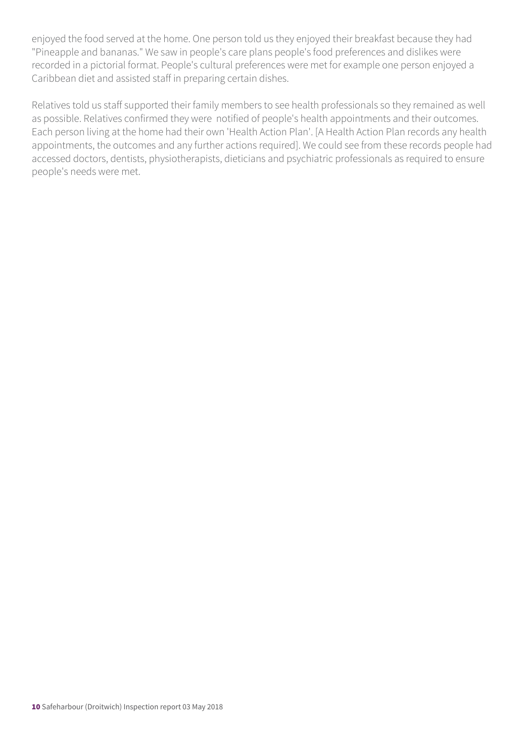enjoyed the food served at the home. One person told us they enjoyed their breakfast because they had "Pineapple and bananas." We saw in people's care plans people's food preferences and dislikes were recorded in a pictorial format. People's cultural preferences were met for example one person enjoyed a Caribbean diet and assisted staff in preparing certain dishes.

Relatives told us staff supported their family members to see health professionals so they remained as well as possible. Relatives confirmed they were notified of people's health appointments and their outcomes. Each person living at the home had their own 'Health Action Plan'. [A Health Action Plan records any health appointments, the outcomes and any further actions required]. We could see from these records people had accessed doctors, dentists, physiotherapists, dieticians and psychiatric professionals as required to ensure people's needs were met.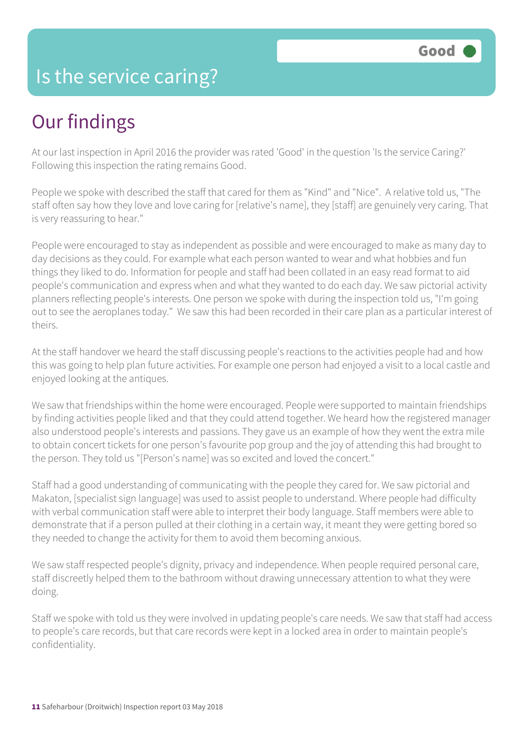### Is the service caring?

# Our findings

At our last inspection in April 2016 the provider was rated 'Good' in the question 'Is the service Caring?' Following this inspection the rating remains Good.

People we spoke with described the staff that cared for them as "Kind" and "Nice". A relative told us, "The staff often say how they love and love caring for [relative's name], they [staff] are genuinely very caring. That is very reassuring to hear."

People were encouraged to stay as independent as possible and were encouraged to make as many day to day decisions as they could. For example what each person wanted to wear and what hobbies and fun things they liked to do. Information for people and staff had been collated in an easy read format to aid people's communication and express when and what they wanted to do each day. We saw pictorial activity planners reflecting people's interests. One person we spoke with during the inspection told us, "I'm going out to see the aeroplanes today." We saw this had been recorded in their care plan as a particular interest of theirs.

At the staff handover we heard the staff discussing people's reactions to the activities people had and how this was going to help plan future activities. For example one person had enjoyed a visit to a local castle and enjoyed looking at the antiques.

We saw that friendships within the home were encouraged. People were supported to maintain friendships by finding activities people liked and that they could attend together. We heard how the registered manager also understood people's interests and passions. They gave us an example of how they went the extra mile to obtain concert tickets for one person's favourite pop group and the joy of attending this had brought to the person. They told us "[Person's name] was so excited and loved the concert."

Staff had a good understanding of communicating with the people they cared for. We saw pictorial and Makaton, [specialist sign language] was used to assist people to understand. Where people had difficulty with verbal communication staff were able to interpret their body language. Staff members were able to demonstrate that if a person pulled at their clothing in a certain way, it meant they were getting bored so they needed to change the activity for them to avoid them becoming anxious.

We saw staff respected people's dignity, privacy and independence. When people required personal care, staff discreetly helped them to the bathroom without drawing unnecessary attention to what they were doing.

Staff we spoke with told us they were involved in updating people's care needs. We saw that staff had access to people's care records, but that care records were kept in a locked area in order to maintain people's confidentiality.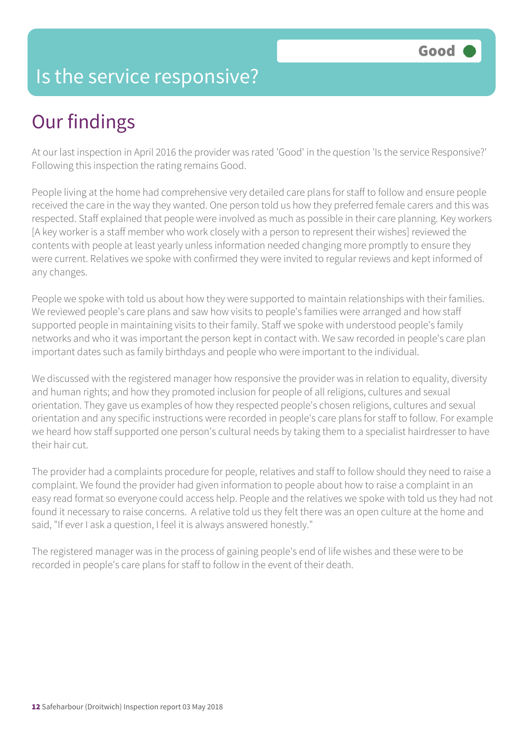### Is the service responsive?

# Our findings

At our last inspection in April 2016 the provider was rated 'Good' in the question 'Is the service Responsive?' Following this inspection the rating remains Good.

People living at the home had comprehensive very detailed care plans for staff to follow and ensure people received the care in the way they wanted. One person told us how they preferred female carers and this was respected. Staff explained that people were involved as much as possible in their care planning. Key workers [A key worker is a staff member who work closely with a person to represent their wishes] reviewed the contents with people at least yearly unless information needed changing more promptly to ensure they were current. Relatives we spoke with confirmed they were invited to regular reviews and kept informed of any changes.

People we spoke with told us about how they were supported to maintain relationships with their families. We reviewed people's care plans and saw how visits to people's families were arranged and how staff supported people in maintaining visits to their family. Staff we spoke with understood people's family networks and who it was important the person kept in contact with. We saw recorded in people's care plan important dates such as family birthdays and people who were important to the individual.

We discussed with the registered manager how responsive the provider was in relation to equality, diversity and human rights; and how they promoted inclusion for people of all religions, cultures and sexual orientation. They gave us examples of how they respected people's chosen religions, cultures and sexual orientation and any specific instructions were recorded in people's care plans for staff to follow. For example we heard how staff supported one person's cultural needs by taking them to a specialist hairdresser to have their hair cut.

The provider had a complaints procedure for people, relatives and staff to follow should they need to raise a complaint. We found the provider had given information to people about how to raise a complaint in an easy read format so everyone could access help. People and the relatives we spoke with told us they had not found it necessary to raise concerns. A relative told us they felt there was an open culture at the home and said, "If ever I ask a question, I feel it is always answered honestly."

The registered manager was in the process of gaining people's end of life wishes and these were to be recorded in people's care plans for staff to follow in the event of their death.